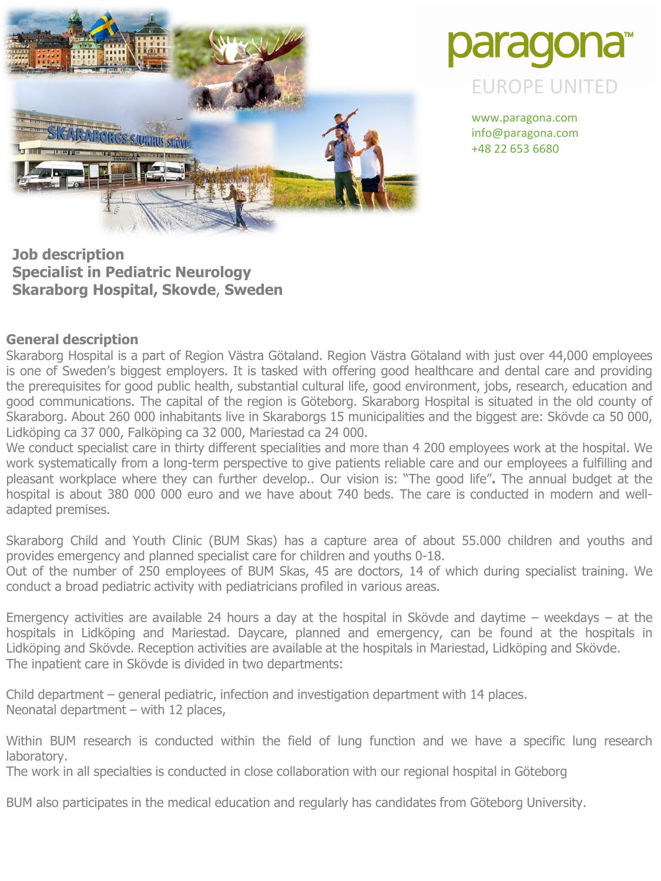



www.paragona.com info@paragona.com +48 22 653 6680

**Job description Specialist in Pediatric Neurology Skaraborg Hospital, Skovde**, **Sweden**

#### **General description**

Skaraborg Hospital is a part of Region Västra Götaland. Region Västra Götaland with just over 44,000 employees is one of Sweden's biggest employers. It is tasked with offering good healthcare and dental care and providing the prerequisites for good public health, substantial cultural life, good environment, jobs, research, education and good communications. The capital of the region is Göteborg. Skaraborg Hospital is situated in the old county of Skaraborg. About 260 000 inhabitants live in Skaraborgs 15 municipalities and the biggest are: Skövde ca 50 000, Lidköping ca 37 000, Falköping ca 32 000, Mariestad ca 24 000.

We conduct specialist care in thirty different specialities and more than 4 200 employees work at the hospital. We work systematically from a long-term perspective to give patients reliable care and our employees a fulfilling and pleasant workplace where they can further develop.. Our vision is: "The good life"**.** The annual budget at the hospital is about 380 000 000 euro and we have about 740 beds. The care is conducted in modern and welladapted premises.

Skaraborg Child and Youth Clinic (BUM Skas) has a capture area of about 55.000 children and youths and provides emergency and planned specialist care for children and youths 0-18.

Out of the number of 250 employees of BUM Skas, 45 are doctors, 14 of which during specialist training. We conduct a broad pediatric activity with pediatricians profiled in various areas.

Emergency activities are available 24 hours a day at the hospital in Skövde and daytime – weekdays – at the hospitals in Lidköping and Mariestad. Daycare, planned and emergency, can be found at the hospitals in Lidköping and Skövde. Reception activities are available at the hospitals in Mariestad, Lidköping and Skövde. The inpatient care in Skövde is divided in two departments:

Child department – general pediatric, infection and investigation department with 14 places. Neonatal department – with 12 places,

Within BUM research is conducted within the field of lung function and we have a specific lung research laboratory.

The work in all specialties is conducted in close collaboration with our regional hospital in Göteborg

BUM also participates in the medical education and regularly has candidates from Göteborg University.